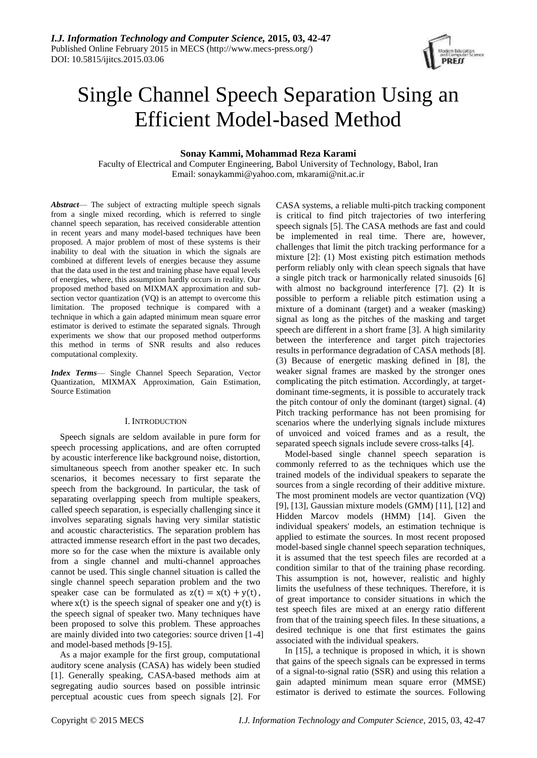

# Single Channel Speech Separation Using an Efficient Model-based Method

# **Sonay Kammi, Mohammad Reza Karami**

Faculty of Electrical and Computer Engineering, Babol University of Technology, Babol, Iran Email: sonaykammi@yahoo.com, mkarami@nit.ac.ir

*Abstract*— The subject of extracting multiple speech signals from a single mixed recording, which is referred to single channel speech separation, has received considerable attention in recent years and many model-based techniques have been proposed. A major problem of most of these systems is their inability to deal with the situation in which the signals are combined at different levels of energies because they assume that the data used in the test and training phase have equal levels of energies, where, this assumption hardly occurs in reality. Our proposed method based on MIXMAX approximation and subsection vector quantization (VQ) is an attempt to overcome this limitation. The proposed technique is compared with a technique in which a gain adapted minimum mean square error estimator is derived to estimate the separated signals. Through experiments we show that our proposed method outperforms this method in terms of SNR results and also reduces computational complexity.

*Index Terms*— Single Channel Speech Separation, Vector Quantization, MIXMAX Approximation, Gain Estimation, Source Estimation

# I. INTRODUCTION

Speech signals are seldom available in pure form for speech processing applications, and are often corrupted by acoustic interference like background noise, distortion, simultaneous speech from another speaker etc. In such scenarios, it becomes necessary to first separate the speech from the background. In particular, the task of separating overlapping speech from multiple speakers, called speech separation, is especially challenging since it involves separating signals having very similar statistic and acoustic characteristics. The separation problem has attracted immense research effort in the past two decades, more so for the case when the mixture is available only from a single channel and multi-channel approaches cannot be used. This single channel situation is called the single channel speech separation problem and the two speaker case can be formulated as  $z(t) = x(t) + y(t)$ , where  $x(t)$  is the speech signal of speaker one and  $y(t)$  is the speech signal of speaker two. Many techniques have been proposed to solve this problem. These approaches are mainly divided into two categories: source driven [1-4] and model-based methods [9-15].

As a major example for the first group, computational auditory scene analysis (CASA) has widely been studied [1]. Generally speaking, CASA-based methods aim at segregating audio sources based on possible intrinsic perceptual acoustic cues from speech signals [2]. For

CASA systems, a reliable multi-pitch tracking component is critical to find pitch trajectories of two interfering speech signals [5]. The CASA methods are fast and could be implemented in real time. There are, however, challenges that limit the pitch tracking performance for a mixture [2]: (1) Most existing pitch estimation methods perform reliably only with clean speech signals that have a single pitch track or harmonically related sinusoids [6] with almost no background interference [7]. (2) It is possible to perform a reliable pitch estimation using a mixture of a dominant (target) and a weaker (masking) signal as long as the pitches of the masking and target speech are different in a short frame [3]. A high similarity between the interference and target pitch trajectories results in performance degradation of CASA methods [8]. (3) Because of energetic masking defined in [8], the weaker signal frames are masked by the stronger ones complicating the pitch estimation. Accordingly, at targetdominant time-segments, it is possible to accurately track the pitch contour of only the dominant (target) signal. (4) Pitch tracking performance has not been promising for scenarios where the underlying signals include mixtures of unvoiced and voiced frames and as a result, the separated speech signals include severe cross-talks [4].

Model-based single channel speech separation is commonly referred to as the techniques which use the trained models of the individual speakers to separate the sources from a single recording of their additive mixture. The most prominent models are vector quantization (VQ) [9], [13], Gaussian mixture models (GMM) [11], [12] and Hidden Marcov models (HMM) [14]. Given the individual speakers' models, an estimation technique is applied to estimate the sources. In most recent proposed model-based single channel speech separation techniques, it is assumed that the test speech files are recorded at a condition similar to that of the training phase recording. This assumption is not, however, realistic and highly limits the usefulness of these techniques. Therefore, it is of great importance to consider situations in which the test speech files are mixed at an energy ratio different from that of the training speech files. In these situations, a desired technique is one that first estimates the gains associated with the individual speakers.

In [15], a technique is proposed in which, it is shown that gains of the speech signals can be expressed in terms of a signal-to-signal ratio (SSR) and using this relation a gain adapted minimum mean square error (MMSE) estimator is derived to estimate the sources. Following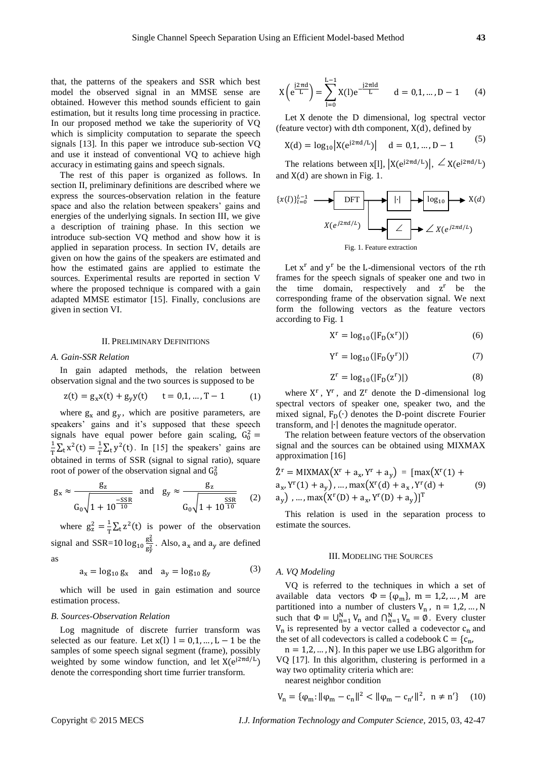that, the patterns of the speakers and SSR which best model the observed signal in an MMSE sense are obtained. However this method sounds efficient to gain estimation, but it results long time processing in practice. In our proposed method we take the superiority of VQ which is simplicity computation to separate the speech signals [13]. In this paper we introduce sub-section VQ and use it instead of conventional VQ to achieve high accuracy in estimating gains and speech signals.

The rest of this paper is organized as follows. In section II, preliminary definitions are described where we express the sources-observation relation in the feature space and also the relation between speakers' gains and energies of the underlying signals. In section III, we give a description of training phase. In this section we introduce sub-section VQ method and show how it is applied in separation process. In section IV, details are given on how the gains of the speakers are estimated and how the estimated gains are applied to estimate the sources. Experimental results are reported in section V where the proposed technique is compared with a gain adapted MMSE estimator [15]. Finally, conclusions are given in section VI.

# II. PRELIMINARY DEFINITIONS

#### *A. Gain-SSR Relation*

In gain adapted methods, the relation between observation signal and the two sources is supposed to be

$$
z(t) = g_x x(t) + g_y y(t) \qquad t = 0, 1, ..., T - 1 \tag{1}
$$

where  $g_x$  and  $g_y$ , which are positive parameters, are speakers' gains and it's supposed that these speech signals have equal power before gain scaling,  $G_0^2 =$ 1  $\frac{1}{T}\sum_{t} x^{2}(t) = \frac{1}{T}$  $\frac{1}{T}\sum_{t} y^{2}(t)$ . In [15] the speakers' gains are obtained in terms of SSR (signal to signal ratio), square root of power of the observation signal and  $G_0^2$ 

$$
g_x \approx \frac{g_z}{G_0 \sqrt{1 + 10^{\frac{-SSR}{10}}}}
$$
 and  $g_y \approx \frac{g_z}{G_0 \sqrt{1 + 10^{\frac{SSR}{10}}}}$  (2)

where  $g_z^2 = \frac{1}{T}$  $\frac{1}{T}\sum_t z^2(t)$  is power of the observation signal and SSR=10  $log_{10} \frac{g_x^2}{g^2}$  $\frac{g_x}{g_y^2}$ . Also,  $a_x$  and  $a_y$  are defined as

> $a_x = log_{10} g_x$  and  $a_y = log_{10} g_y$ (3)

which will be used in gain estimation and source estimation process.

# *B. Sources-Observation Relation*

Log magnitude of discrete furrier transform was selected as our feature. Let  $x(1)$  l = 0,1, ..., L – 1 be the samples of some speech signal segment (frame), possibly weighted by some window function, and let  $X(e^{j2\pi d/L})$ denote the corresponding short time furrier transform.

$$
X\left(e^{\frac{j2\pi d}{L}}\right) = \sum_{l=0}^{L-1} X(l)e^{-\frac{j2\pi ld}{L}} \qquad d = 0, 1, ..., D-1 \qquad (4)
$$

Let X denote the D dimensional, log spectral vector (feature vector) with dth component,  $X(d)$ , defined by

$$
X(d) = \log_{10} |X(e^{j2\pi d/L})| \quad d = 0, 1, ..., D - 1
$$
 (5)

The relations between x[l],  $|X(e^{j2\pi d/L})|$ ,  $\angle X(e^{j2\pi d/L})$ and  $X(d)$  are shown in Fig. 1.

$$
\{x(l)\}_{l=0}^{L-1} \longrightarrow \text{DFT} \longrightarrow \text{log}_{10} \longrightarrow X(d)
$$
\n
$$
X(e^{j2\pi d/L}) \longrightarrow \boxed{\angle} \longrightarrow \boxed{\angle X(e^{j2\pi d/L})}
$$
\n
$$
\text{Fig. 1. Feature extraction}
$$

Let  $x^r$  and  $y^r$  be the L-dimensional vectors of the rth frames for the speech signals of speaker one and two in the time domain, respectively and  $z<sup>r</sup>$  be the corresponding frame of the observation signal. We next form the following vectors as the feature vectors according to Fig. 1

$$
Xr = log10(|FD(xr)|)
$$
 (6)

$$
Y^r = \log_{10}(|F_D(y^r)|) \tag{7}
$$

$$
Z^r = \log_{10}(|F_D(z^r)|) \tag{8}
$$

where  $X^r$ ,  $Y^r$ , and  $Z^r$  denote the D-dimensional log spectral vectors of speaker one, speaker two, and the mixed signal,  $F_D(\cdot)$  denotes the D-point discrete Fourier transform, and |∙| denotes the magnitude operator.

The relation between feature vectors of the observation signal and the sources can be obtained using MIXMAX approximation [16]

$$
\hat{Z}^{r} = MIXMAX(X^{r} + a_{x}, Y^{r} + a_{y}) = [max(X^{r}(1) + a_{x}, Y^{r}(1) + a_{y}), ..., max(X^{r}(d) + a_{x}, Y^{r}(d) + a_{y}), ..., max(X^{r}(D) + a_{x}, Y^{r}(D) + a_{y})]^{T}
$$
\n(9)

This relation is used in the separation process to estimate the sources.

#### III. MODELING THE SOURCES

# *A. VQ Modeling*

VQ is referred to the techniques in which a set of available data vectors  $\Phi = {\varphi_m}$ , m = 1,2, ..., M are partitioned into a number of clusters  $V_n$ ,  $n = 1, 2, ..., N$ such that  $\Phi = \bigcup_{n=1}^{N} V_n$  and  $\bigcap_{n=1}^{N} V_n = \emptyset$ . Every cluster  $V_n$  is represented by a vector called a codevector  $c_n$  and the set of all codevectors is called a codebook  $C = \{c_n, c_n\}$ 

 $n = 1, 2, \dots, N$ . In this paper we use LBG algorithm for VQ [17]. In this algorithm, clustering is performed in a way two optimality criteria which are: nearest neighbor condition

$$
V_{n} = \{\varphi_{m}: ||\varphi_{m} - c_{n}||^{2} < ||\varphi_{m} - c_{n'}||^{2}, \ n \neq n'\} \quad (10)
$$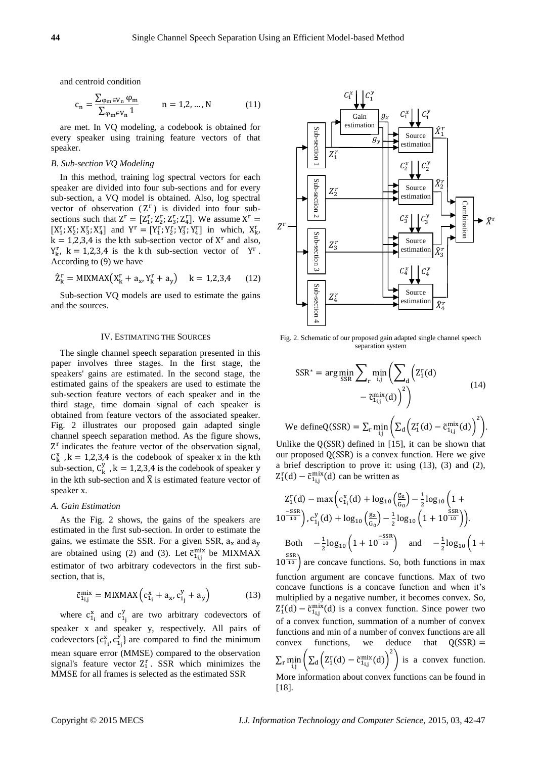and centroid condition

$$
c_n = \frac{\sum_{\varphi_m \in V_n} \varphi_m}{\sum_{\varphi_m \in V_n} 1} \qquad n = 1, 2, ..., N \qquad (11)
$$

are met. In VQ modeling, a codebook is obtained for every speaker using training feature vectors of that speaker.

# *B. Sub-section VQ Modeling*

In this method, training log spectral vectors for each speaker are divided into four sub-sections and for every sub-section, a VQ model is obtained. Also, log spectral vector of observation  $(Z<sup>r</sup>)$  is divided into four subsections such that  $Z^r = [Z_1^r; Z_2^r; Z_3^r; Z_4^r]$ . We assume  $X^r =$  $[X_1^r; X_2^r; X_3^r; X_4^r]$  and  $Y^r = [Y_1^r; Y_2^r; Y_3^r; Y_4^r]$  in which,  $X_{k}^r$ ,  $k = 1,2,3,4$  is the kth sub-section vector of  $X<sup>r</sup>$  and also,  $Y_{k}^{r}$ , k = 1,2,3,4 is the kth sub-section vector of  $Y^{r}$ . According to (9) we have

$$
\hat{Z}_{k}^{r} = MIXMAX(X_{k}^{r} + a_{x}, Y_{k}^{r} + a_{y}) \quad k = 1,2,3,4 \quad (12)
$$

Sub-section VQ models are used to estimate the gains and the sources.

#### IV. ESTIMATING THE SOURCES

The single channel speech separation presented in this paper involves three stages. In the first stage, the speakers' gains are estimated. In the second stage, the estimated gains of the speakers are used to estimate the sub-section feature vectors of each speaker and in the third stage, time domain signal of each speaker is obtained from feature vectors of the associated speaker. Fig. 2 illustrates our proposed gain adapted single channel speech separation method. As the figure shows, Z<sup>r</sup> indicates the feature vector of the observation signal,  $C_k^x$ ,  $k = 1,2,3,4$  is the codebook of speaker x in the kth sub-section,  $C_k^y$ ,  $k = 1,2,3,4$  is the codebook of speaker y in the kth sub-section and  $\hat{X}$  is estimated feature vector of speaker x.

# *A. Gain Estimation*

As the Fig. 2 shows, the gains of the speakers are estimated in the first sub-section. In order to estimate the gains, we estimate the SSR. For a given SSR,  $a_x$  and  $a_y$ are obtained using (2) and (3). Let  $\tilde{c}_{1i,j}^{mix}$  be MIXMAX estimator of two arbitrary codevectors in the first subsection, that is,

$$
\tilde{c}_{1_{i,j}}^{\text{mix}} = \text{MIXMAX} \left( c_{1_i}^x + a_x, c_{1_j}^y + a_y \right) \tag{13}
$$

where  $c_{1i}^x$  and  $c_{1j}^y$  are two arbitrary codevectors of speaker x and speaker y, respectively. All pairs of codevectors  $\{c_{1j}^x, c_{1j}^y\}$  are compared to find the minimum mean square error (MMSE) compared to the observation signal's feature vector  $Z_1^r$ . SSR which minimizes the MMSE for all frames is selected as the estimated SSR



Fig. 2. Schematic of our proposed gain adapted single channel speech separation system

$$
SSR^* = \arg\min_{SSR} \sum_{r} \min_{i,j} \left( \sum_{d} \left( Z_1^r(d) - \tilde{c}_{1i,j}^{mix}(d) \right)^2 \right)
$$
(14)

We define 
$$
Q(SSR) = \sum_{r} \min_{i,j} \left( \sum_{d} \left( Z_1^r(d) - \tilde{c}_{1i,j}^{\text{mix}}(d) \right)^2 \right)
$$
.

Unlike the  $Q(SSR)$  defined in [15], it can be shown that our proposed Q(SSR) is a convex function. Here we give a brief description to prove it: using (13), (3) and (2),  $Z_1^{\rm r}$ (d) –  $\tilde{c}_{1_{i,j}}^{\rm mix}$ (d) can be written as

$$
Z_1^r(d) - \max\left(c_{1}^x(d) + \log_{10}\left(\frac{g_z}{G_0}\right) - \frac{1}{2}\log_{10}\left(1 + \frac{10^{-5\text{SR}}}{10}\right), c_{1j}^y(d) + \log_{10}\left(\frac{g_z}{G_0}\right) - \frac{1}{2}\log_{10}\left(1 + 10^{\frac{5\text{SR}}{10}}\right)\right).
$$
  
Both 
$$
-\frac{1}{2}\log_{10}\left(1 + 10^{\frac{-5\text{SR}}{10}}\right) \text{ and } -\frac{1}{2}\log_{10}\left(1 + 10^{\frac{5\text{SR}}{10}}\right)
$$
  

$$
10^{\frac{5\text{SR}}{10}}
$$
 are concave functions. So, both functions in max function argument are concave functions. Max of two

function argument are concave functions. Max of two concave functions is a concave function and when it's multiplied by a negative number, it becomes convex. So,  $Z_1^r(d) - \tilde{c}_{1i,j}^{mix}(d)$  is a convex function. Since power two of a convex function, summation of a number of convex functions and min of a number of convex functions are all convex functions, we deduce that  $Q(SSR)$  =  $\sum_{\rm r} \min_{\rm i,j} \left( \sum_{\rm d} \left( {\rm Z}_{\rm 1}^{\rm r}({\rm d}) - \tilde{\rm c}^{\rm mix}_{\rm 1ij}({\rm d}) \right)^2 \right)$ r min  $\left(\sum_{d} \left( Z_{1}^{r}(d) - \tilde{c}_{1}^{mix}(d) \right) \right)$  is a convex function. More information about convex functions can be found in [18].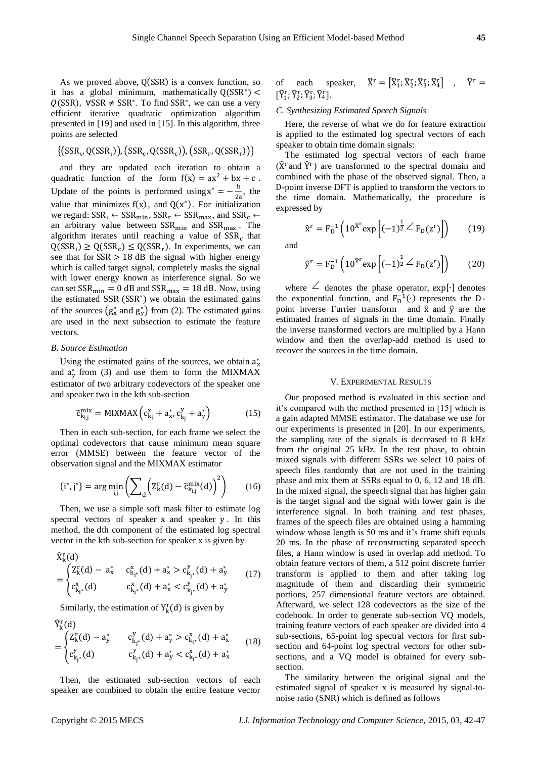As we proved above,  $Q(SSR)$  is a convex function, so it has a global minimum, mathematically  $Q(SSR^*)$  <  $Q(SSR)$ ,  $\forall SSR \neq SSR^*$ . To find SSR<sup>\*</sup>, we can use a very efficient iterative quadratic optimization algorithm presented in [19] and used in [15]. In this algorithm, three points are selected

$$
\{(\textsf{SSR}_{\iota}, \textsf{Q}(\textsf{SSR}_{\iota})) , (\textsf{SSR}_{\iota}, \textsf{Q}(\textsf{SSR}_{\iota})) , (\textsf{SSR}_{\iota}, \textsf{Q}(\textsf{SSR}_{\iota}))\}
$$

and they are updated each iteration to obtain a quadratic function of the form  $f(x) = ax^2 + bx + c$ . Update of the points is performed using  $x^* = -\frac{b}{2}$  $\frac{0}{2a}$ , the value that minimizes  $f(x)$ , and  $Q(x^*)$ . For initialization we regard:  $SSR_t \leftarrow SSR_{\text{min}}$ ,  $SSR_r \leftarrow SSR_{\text{max}}$ , and  $SSR_c \leftarrow$ an arbitrary value between  $SSR_{min}$  and  $SSR_{max}$ . The algorithm iterates until reaching a value of  $SSR_c$  that  $Q(SSR<sub>t</sub>) \ge Q(SSR<sub>c</sub>) \le Q(SSR<sub>r</sub>)$ . In experiments, we can see that for  $SSR > 18$  dB the signal with higher energy which is called target signal, completely masks the signal with lower energy known as interference signal. So we can set  $SSR_{\text{min}} = 0$  dB and  $SSR_{\text{max}} = 18$  dB. Now, using the estimated SSR (SSR<sup>∗</sup> ) we obtain the estimated gains of the sources  $(g_x^*$  and  $g_y^*$ ) from (2). The estimated gains are used in the next subsection to estimate the feature vectors.

## *B. Source Estimation*

Using the estimated gains of the sources, we obtain  $a_x^*$ and  $a_y^*$  from (3) and use them to form the MIXMAX estimator of two arbitrary codevectors of the speaker one and speaker two in the kth sub-section

$$
\tilde{c}_{k_{i,j}}^{\text{mix}} = \text{MIXMAX}\left(c_{k_i}^x + a_{x}^*, c_{k_j}^y + a_{y}^*\right) \tag{15}
$$

Then in each sub-section, for each frame we select the optimal codevectors that cause minimum mean square error (MMSE) between the feature vector of the observation signal and the MIXMAX estimator

$$
\{i^*, j^*\} = \arg\min_{i,j} \left( \sum_{d} \left( Z_k^r(d) - \tilde{c}_{k_{i,j}}^{mix}(d) \right)^2 \right) \tag{16}
$$

Then, we use a simple soft mask filter to estimate log spectral vectors of speaker x and speaker y. In this method, the dth component of the estimated log spectral vector in the kth sub-section for speaker x is given by

$$
\begin{align}\n\widehat{X}^r_k(d) \\
&= \begin{cases}\nZ^r_k(d) - a^*_x & c^x_{k_i^*}(d) + a^*_x > c^y_{k_j^*}(d) + a^*_y \\
c^x_{k_i^*}(d) & c^x_{k_i^*}(d) + a^*_x < c^y_{k_j^*}(d) + a^*_y\n\end{cases}\n\end{align}
$$
\n(17)

Similarly, the estimation of  $Y_k^r(d)$  is given by

Ŷ r (d) k = { Zk r (d) −a<sup>y</sup> ∗ ckj ∗ y (d) + a<sup>y</sup> <sup>∗</sup> <sup>&</sup>gt; <sup>c</sup><sup>k</sup><sup>i</sup> ∗ x (d)+ a<sup>x</sup> ∗ ckj ∗ y (d) <sup>c</sup><sup>k</sup><sup>j</sup> ∗ y (d) +a<sup>y</sup> <sup>∗</sup> <sup>&</sup>lt; <sup>c</sup><sup>k</sup><sup>i</sup> ∗ x (d)+ a<sup>x</sup> ∗ (18)

Then, the estimated sub-section vectors of each speaker are combined to obtain the entire feature vector

of each speaker, 
$$
\hat{X}^r = [\hat{X}_1^r; \hat{X}_2^r; \hat{X}_3^r; \hat{X}_4^r]
$$
,  $\hat{Y}^r = [\hat{Y}_1^r; \hat{Y}_2^r; \hat{Y}_3^r; \hat{Y}_4^r]$ .

#### *C. Synthesizing Estimated Speech Signals*

Here, the reverse of what we do for feature extraction is applied to the estimated log spectral vectors of each speaker to obtain time domain signals:

The estimated log spectral vectors of each frame  $(\hat{X}^r)$  are transformed to the spectral domain and combined with the phase of the observed signal. Then, a D-point inverse DFT is applied to transform the vectors to the time domain. Mathematically, the procedure is expressed by

$$
\hat{\mathbf{x}}^{\mathbf{r}} = \mathbf{F}_{\mathbf{D}}^{-1} \left( 10^{\hat{\mathbf{x}}^{\mathbf{r}}} \exp \left[ (-1)^{\frac{1}{2}} \angle \mathbf{F}_{\mathbf{D}}(\mathbf{z}^{\mathbf{r}}) \right] \right) \tag{19}
$$

and

$$
\hat{y}^{\rm r} = F_{\rm D}^{-1} \left( 10^{\hat{\gamma}^{\rm r}} \exp \left[ (-1)^{\frac{1}{2}} \angle F_{\rm D}(z^{\rm r}) \right] \right) \tag{20}
$$

where ∠ denotes the phase operator, exp[⋅] denotes the exponential function, and  $F_D^{-1}(\cdot)$  represents the Dpoint inverse Furrier transform and  $\hat{x}$  and  $\hat{y}$  are the estimated frames of signals in the time domain. Finally the inverse transformed vectors are multiplied by a Hann window and then the overlap-add method is used to recover the sources in the time domain.

# V. EXPERIMENTAL RESULTS

Our proposed method is evaluated in this section and it's compared with the method presented in [15] which is a gain adapted MMSE estimator. The database we use for our experiments is presented in [20]. In our experiments, the sampling rate of the signals is decreased to 8 kHz from the original 25 kHz. In the test phase, to obtain mixed signals with different SSRs we select 10 pairs of speech files randomly that are not used in the training phase and mix them at SSRs equal to 0, 6, 12 and 18 dB. In the mixed signal, the speech signal that has higher gain is the target signal and the signal with lower gain is the interference signal. In both training and test phases, frames of the speech files are obtained using a hamming window whose length is 50 ms and it's frame shift equals 20 ms. In the phase of reconstructing separated speech files, a Hann window is used in overlap add method. To obtain feature vectors of them, a 512 point discrete furrier transform is applied to them and after taking log magnitude of them and discarding their symmetric portions, 257 dimensional feature vectors are obtained. Afterward, we select 128 codevectors as the size of the codebook. In order to generate sub-section VQ models, training feature vectors of each speaker are divided into 4 sub-sections, 65-point log spectral vectors for first subsection and 64-point log spectral vectors for other subsections, and a VQ model is obtained for every subsection.

The similarity between the original signal and the estimated signal of speaker x is measured by signal-tonoise ratio (SNR) which is defined as follows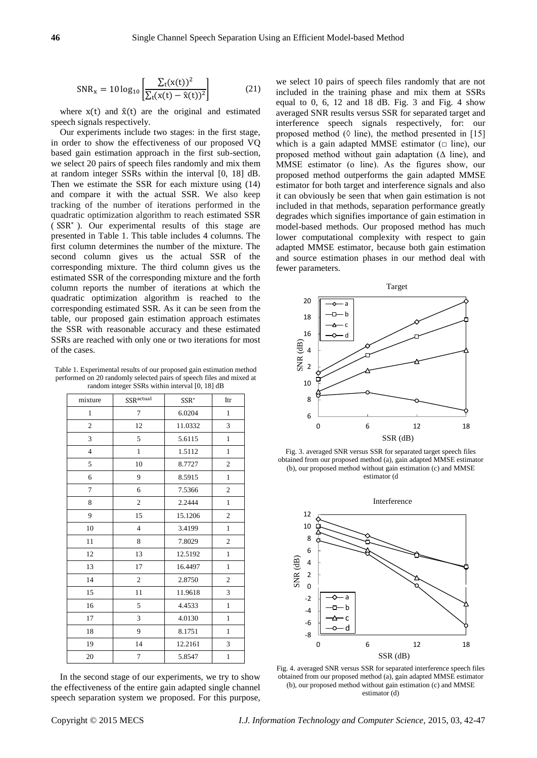$$
SNR_x = 10 \log_{10} \left[ \frac{\sum_{t} (x(t))^2}{\sum_{t} (x(t) - \hat{x}(t))^2} \right]
$$
(21)

where  $x(t)$  and  $\hat{x}(t)$  are the original and estimated speech signals respectively.

Our experiments include two stages: in the first stage, in order to show the effectiveness of our proposed VQ based gain estimation approach in the first sub-section, we select 20 pairs of speech files randomly and mix them at random integer SSRs within the interval [0, 18] dB. Then we estimate the SSR for each mixture using (14) and compare it with the actual SSR. We also keep tracking of the number of iterations performed in the quadratic optimization algorithm to reach estimated SSR ( SSR<sup>∗</sup> ). Our experimental results of this stage are presented in Table 1. This table includes 4 columns. The first column determines the number of the mixture. The second column gives us the actual SSR of the corresponding mixture. The third column gives us the estimated SSR of the corresponding mixture and the forth column reports the number of iterations at which the quadratic optimization algorithm is reached to the corresponding estimated SSR. As it can be seen from the table, our proposed gain estimation approach estimates the SSR with reasonable accuracy and these estimated SSRs are reached with only one or two iterations for most of the cases.

Table 1. Experimental results of our proposed gain estimation method performed on 20 randomly selected pairs of speech files and mixed at random integer SSRs within interval [0, 18] dB

| mixture        | <b>SSR</b> <sup>actual</sup> | SSR*    | Itr            |
|----------------|------------------------------|---------|----------------|
| $\mathbf{1}$   | 7                            | 6.0204  | $\mathbf{1}$   |
| $\mathbf{2}$   | 12                           | 11.0332 | 3              |
| 3              | 5                            | 5.6115  | $\mathbf{1}$   |
| $\overline{4}$ | $\mathbf{1}$                 | 1.5112  | $\mathbf{1}$   |
| 5              | 10                           | 8.7727  | $\overline{2}$ |
| 6              | 9                            | 8.5915  | $\mathbf{1}$   |
| $\overline{7}$ | 6                            | 7.5366  | $\overline{2}$ |
| 8              | $\mathfrak{2}$               | 2.2444  | $\mathbf{1}$   |
| 9              | 15                           | 15.1206 | $\overline{c}$ |
| 10             | $\overline{4}$               | 3.4199  | $\mathbf{1}$   |
| 11             | 8                            | 7.8029  | $\overline{2}$ |
| 12             | 13                           | 12.5192 | $\mathbf{1}$   |
| 13             | 17                           | 16.4497 | $\mathbf{1}$   |
| 14             | $\mathfrak{2}$               | 2.8750  | $\overline{2}$ |
| 15             | 11                           | 11.9618 | 3              |
| 16             | 5                            | 4.4533  | $\mathbf{1}$   |
| 17             | 3                            | 4.0130  | $\mathbf{1}$   |
| 18             | 9                            | 8.1751  | $\mathbf{1}$   |
| 19             | 14                           | 12.2161 | 3              |
| 20             | 7                            | 5.8547  | $\mathbf{1}$   |

In the second stage of our experiments, we try to show the effectiveness of the entire gain adapted single channel speech separation system we proposed. For this purpose,

we select 10 pairs of speech files randomly that are not included in the training phase and mix them at SSRs equal to 0, 6, 12 and 18 dB. Fig. 3 and Fig. 4 show averaged SNR results versus SSR for separated target and interference speech signals respectively, for: our proposed method ( $\Diamond$  line), the method presented in [15] which is a gain adapted MMSE estimator  $(\Box$  line), our proposed method without gain adaptation  $(Δ line)$ , and MMSE estimator (o line). As the figures show, our proposed method outperforms the gain adapted MMSE estimator for both target and interference signals and also it can obviously be seen that when gain estimation is not included in that methods, separation performance greatly degrades which signifies importance of gain estimation in model-based methods. Our proposed method has much lower computational complexity with respect to gain adapted MMSE estimator, because both gain estimation and source estimation phases in our method deal with fewer parameters.



Fig. 3. averaged SNR versus SSR for separated target speech files obtained from our proposed method (a), gain adapted MMSE estimator (b), our proposed method without gain estimation (c) and MMSE estimator (d



Fig. 4. averaged SNR versus SSR for separated interference speech files obtained from our proposed method (a), gain adapted MMSE estimator (b), our proposed method without gain estimation (c) and MMSE estimator (d)